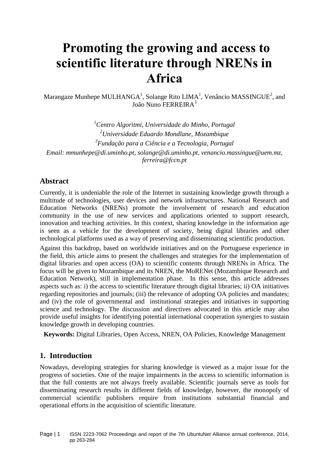# **Promoting the growing and access to scientific literature through NRENs in Africa**

Marangaze Munhepe MULHANGA<sup>1</sup>, Solange Rito LIMA<sup>1</sup>, Venâncio MASSINGUE<sup>2</sup>, and João Nuno FERREIRA<sup>3</sup>

*<sup>1</sup>Centro Algoritmi, Universidade do Minho, Portugal <sup>2</sup>Universidade Eduardo Mondlane, Mozambique 3 Fundação para a Ciência e a Tecnologia, Portugal Email: mmunhepe@di.uminho.pt, [solange@di.uminho.pt,](mailto:solange@di.uminho.pt) venancio.massingue@uem.mz, [ferreira@fccn.pt](mailto:ferreira@fccn.pt)*

## **Abstract**

Currently, it is undeniable the role of the Internet in sustaining knowledge growth through a multitude of technologies, user devices and network infrastructures. National Research and Education Networks (NRENs) promote the involvement of research and education community in the use of new services and applications oriented to support research, innovation and teaching activities. In this context, sharing knowledge in the information age is seen as a vehicle for the development of society, being digital libraries and other technological platforms used as a way of preserving and disseminating scientific production.

Against this backdrop, based on worldwide initiatives and on the Portuguese experience in the field, this article aims to present the challenges and strategies for the implementation of digital libraries and open access (OA) to scientific contents through NRENs in Africa. The focus will be given to Mozambique and its NREN, the MoRENet (Mozambique Research and Education Network), still in implementation phase. In this sense, this article addresses aspects such as: i) the access to scientific literature through digital libraries; ii) OA initiatives regarding repositories and journals; (iii) the relevance of adopting OA policies and mandates; and (iv) the role of governmental and institutional strategies and initiatives in supporting science and technology. The discussion and directives advocated in this article may also provide useful insights for identifying potential international cooperation synergies to sustain knowledge growth in developing countries.

**Keywords:** Digital Libraries, Open Access, NREN, OA Policies, Knowledge Management

## **1. Introduction**

Nowadays, developing strategies for sharing knowledge is viewed as a major issue for the progress of societies. One of the major impairments in the access to scientific information is that the full contents are not always freely available. Scientific journals serve as tools for disseminating research results in different fields of knowledge, however, the monopoly of commercial scientific publishers require from institutions substantial financial and operational efforts in the acquisition of scientific literature.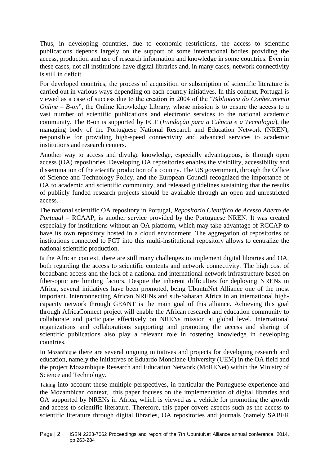Thus, in developing countries, due to economic restrictions, the access to scientific publications depends largely on the support of some international bodies providing the access, production and use of research information and knowledge in some countries. Even in these cases, not all institutions have digital libraries and, in many cases, network connectivity is still in deficit.

For developed countries, the process of acquisition or subscription of scientific literature is carried out in various ways depending on each country initiatives. In this context, Portugal is viewed as a case of success due to the creation in 2004 of the "*Biblioteca do Conhecimento Online – B-on*", the Online Knowledge Library, whose mission is to ensure the access to a vast number of scientific publications and electronic services to the national academic community. The B-on is supported by FCT (*Fundação para a Ciência e a Tecnologia*), the managing body of the Portuguese National Research and Education Network (NREN), responsible for providing high-speed connectivity and advanced services to academic institutions and research centers.

Another way to access and divulge knowledge, especially advantageous, is through open access (OA) repositories. Developing OA repositories enables the visibility, accessibility and dissemination of the scientific production of a country. The US government, through the Office of Science and Technology Policy, and the European Council recognized the importance of OA to academic and scientific community, and released guidelines sustaining that the results of publicly funded research projects should be available through an open and unrestricted access.

The national scientific OA repository in Portugal, *Repositório Científico de Acesso Aberto de Portugal –* RCAAP, is another service provided by the Portuguese NREN. It was created especially for institutions without an OA platform, which may take advantage of RCCAP to have its own repository hosted in a cloud environment. The aggregation of repositories of institutions connected to FCT into this multi-institutional repository allows to centralize the national scientific production.

In the African context, there are still many challenges to implement digital libraries and OA, both regarding the access to scientific contents and network connectivity. The high cost of broadband access and the lack of a national and international network infrastructure based on fiber-optic are limiting factors. Despite the inherent difficulties for deploying NRENs in Africa, several initiatives have been promoted, being UbuntuNet Alliance one of the most important. Interconnecting African NRENs and sub-Saharan Africa in an international highcapacity network through GEANT is the main goal of this alliance. Achieving this goal through AfricaConnect project will enable the African research and education community to collaborate and participate effectively on NRENs mission at global level. International organizations and collaborations supporting and promoting the access and sharing of scientific publications also play a relevant role in fostering knowledge in developing countries.

In Mozambique there are several ongoing initiatives and projects for developing research and education, namely the initiatives of Eduardo Mondlane University (UEM) in the OA field and the project Mozambique Research and Education Network (MoRENet) within the Ministry of Science and Technology.

Taking into account these multiple perspectives, in particular the Portuguese experience and the Mozambican context, this paper focuses on the implementation of digital libraries and OA supported by NRENs in Africa, which is viewed as a vehicle for promoting the growth and access to scientific literature. Therefore, this paper covers aspects such as the access to scientific literature through digital libraries, OA repositories and journals (namely SABER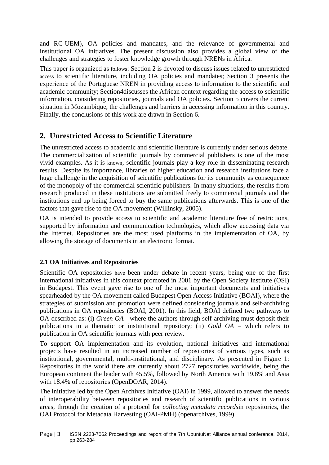and RC-UEM), OA policies and mandates, and the relevance of governmental and institutional OA initiatives. The present discussion also provides a global view of the challenges and strategies to foster knowledge growth through NRENs in Africa.

This paper is organized as follows: Section 2 is devoted to discuss issues related to unrestricted access to scientific literature, including OA policies and mandates; Section 3 presents the experience of the Portuguese NREN in providing access to information to the scientific and academic community; Section4discusses the African context regarding the access to scientific information, considering repositories, journals and OA policies. Section 5 covers the current situation in Mozambique, the challenges and barriers in accessing information in this country. Finally, the conclusions of this work are drawn in Section 6.

# **2. Unrestricted Access to Scientific Literature**

The unrestricted access to academic and scientific literature is currently under serious debate. The commercialization of scientific journals by commercial publishers is one of the most vivid examples. As it is known, scientific journals play a key role in disseminating research results. Despite its importance, libraries of higher education and research institutions face a huge challenge in the acquisition of scientific publications for its community as consequence of the monopoly of the commercial scientific publishers. In many situations, the results from research produced in these institutions are submitted freely to commercial journals and the institutions end up being forced to buy the same publications afterwards. This is one of the factors that gave rise to the OA movement (Willinsky, 2005).

OA is intended to provide access to scientific and academic literature free of restrictions, supported by information and communication technologies, which allow accessing data via the Internet. Repositories are the most used platforms in the implementation of OA, by allowing the storage of documents in an electronic format.

## **2.1 OA Initiatives and Repositories**

Scientific OA repositories have been under debate in recent years, being one of the first international initiatives in this context promoted in 2001 by the Open Society Institute (OSI) in Budapest. This event gave rise to one of the most important documents and initiatives spearheaded by the OA movement called Budapest Open Access Initiative (BOAI), where the strategies of submission and promotion were defined considering journals and self-archiving publications in OA repositories (BOAI, 2001). In this field, BOAI defined two pathways to OA described as: (i) *Green OA* - where the authors through self-archiving must deposit their publications in a thematic or institutional repository; (ii) *Gold OA* – which refers to publication in OA scientific journals with peer review.

To support OA implementation and its evolution, national initiatives and international projects have resulted in an increased number of repositories of various types, such as institutional, governmental, multi-institutional, and disciplinary. As presented in [Figure](#page-3-0) 1: [Repositories in the world](#page-3-0) there are currently about 2727 repositories worldwide, being the European continent the leader with 45.5%, followed by North America with 19.8% and Asia with 18.4% of repositories (OpenDOAR, 2014).

The initiative led by the Open Archives Initiative (OAI) in 1999, allowed to answer the needs of interoperability between repositories and research of scientific publications in various areas, through the creation of a protocol for *collecting metadata records*in repositories, the OAI Protocol for Metadata Harvesting (OAI-PMH) (openarchives, 1999).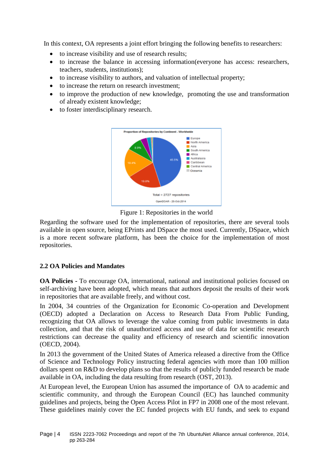In this context, OA represents a joint effort bringing the following benefits to researchers:

- to increase visibility and use of research results;
- to increase the balance in accessing information(everyone has access: researchers, teachers, students, institutions);
- to increase visibility to authors, and valuation of intellectual property;
- to increase the return on research investment;
- to improve the production of new knowledge, promoting the use and transformation of already existent knowledge;
- to foster interdisciplinary research.



Figure 1: Repositories in the world

<span id="page-3-0"></span>Regarding the software used for the implementation of repositories, there are several tools available in open source, being EPrints and DSpace the most used. Currently, DSpace, which is a more recent software platform, has been the choice for the implementation of most repositories.

#### **2.2 OA Policies and Mandates**

**OA Policies -** To encourage OA, international, national and institutional policies focused on self-archiving have been adopted, which means that authors deposit the results of their work in repositories that are available freely, and without cost.

In 2004, 34 countries of the Organization for Economic Co-operation and Development (OECD) adopted a Declaration on Access to Research Data From Public Funding, recognizing that OA allows to leverage the value coming from public investments in data collection, and that the risk of unauthorized access and use of data for scientific research restrictions can decrease the quality and efficiency of research and scientific innovation (OECD, 2004).

In 2013 the government of the United States of America released a directive from the Office of Science and Technology Policy instructing federal agencies with more than 100 million dollars spent on R&D to develop plans so that the results of publicly funded research be made available in OA, including the data resulting from research (OST, 2013).

At European level, the European Union has assumed the importance of OA to academic and scientific community, and through the European Council (EC) has launched community guidelines and projects, being the Open Access Pilot in FP7 in 2008 one of the most relevant. These guidelines mainly cover the EC funded projects with EU funds, and seek to expand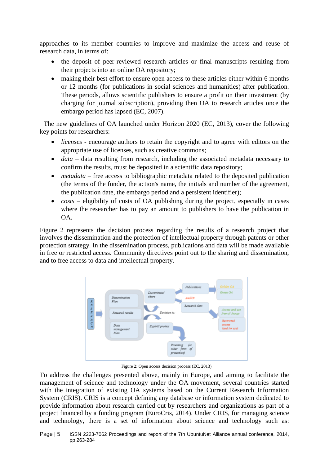approaches to its member countries to improve and maximize the access and reuse of research data, in terms of:

- the deposit of peer-reviewed research articles or final manuscripts resulting from their projects into an online OA repository;
- making their best effort to ensure open access to these articles either within 6 months or 12 months (for publications in social sciences and humanities) after publication. These periods, allows scientific publishers to ensure a profit on their investment (by charging for journal subscription), providing then OA to research articles once the embargo period has lapsed (EC, 2007).

The new guidelines of OA launched under Horizon 2020 (EC, 2013), cover the following key points for researchers:

- *licenses* encourage authors to retain the copyright and to agree with editors on the appropriate use of licenses, such as creative commons;
- *data* data resulting from research, including the associated metadata necessary to confirm the results, must be deposited in a scientific data repository;
- *metadata* free access to bibliographic metadata related to the deposited publication (the terms of the funder, the action's name, the initials and number of the agreement, the publication date, the embargo period and a persistent identifier);
- *costs* eligibility of costs of OA publishing during the project, especially in cases where the researcher has to pay an amount to publishers to have the publication in OA.

[Figure 2](#page-4-0) represents the decision process regarding the results of a research project that involves the dissemination and the protection of intellectual property through patents or other protection strategy. In the dissemination process, publications and data will be made available in free or restricted access. Community directives point out to the sharing and dissemination, and to free access to data and intellectual property.



Figure 2: Open access decision process (EC, 2013)

<span id="page-4-0"></span>To address the challenges presented above, mainly in Europe, and aiming to facilitate the management of science and technology under the OA movement, several countries started with the integration of existing OA systems based on the Current Research Information System (CRIS). CRIS is a concept defining any database or information system dedicated to provide information about research carried out by researchers and organizations as part of a project financed by a funding program (EuroCris, 2014). Under CRIS, for managing science and technology, there is a set of information about science and technology such as: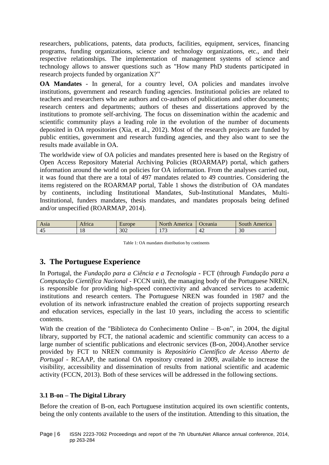researchers, publications, patents, data products, facilities, equipment, services, financing programs, funding organizations, science and technology organizations, etc., and their respective relationships. The implementation of management systems of science and technology allows to answer questions such as "How many PhD students participated in research projects funded by organization X?"

**OA Mandates** - In general, for a country level, OA policies and mandates involve institutions, government and research funding agencies. Institutional policies are related to teachers and researchers who are authors and co-authors of publications and other documents; research centers and departments; authors of theses and dissertations approved by the institutions to promote self-archiving. The focus on dissemination within the academic and scientific community plays a leading role in the evolution of the number of documents deposited in OA repositories (Xia, et al., 2012). Most of the research projects are funded by public entities, government and research funding agencies, and they also want to see the results made available in OA.

The worldwide view of OA policies and mandates presented here is based on the Registry of Open Access Repository Material Archiving Policies (ROARMAP) portal, which gathers information around the world on policies for OA information. From the analyses carried out, it was found that there are a total of 497 mandates related to 49 countries. Considering the items registered on the ROARMAP portal, [Table 1](#page-5-0) shows the distribution of OA mandates by continents, including Institutional Mandates, Sub-Institutional Mandates, Multi-Institutional, funders mandates, thesis mandates, and mandates proposals being defined and/or unspecified (ROARMAP, 2014).

| Asia | $\sim$ $\sim$<br>trica | $u$ rope | 'N.<br>merica<br><u>orth</u> | Ceania         | merica         |
|------|------------------------|----------|------------------------------|----------------|----------------|
| -45  | $\Omega$<br>10         | 302      | $\overline{a}$<br>ຼ<br>. .   | $\sim$<br>$+4$ | $\Omega$<br>3U |

Table 1: OA mandates distribution by continents

# <span id="page-5-0"></span>**3. The Portuguese Experience**

In Portugal, the *Fundação para a Ciência e a Tecnologia* - FCT (through *Fundação para a Computação Científica Nacional* - FCCN unit), the managing body of the Portuguese NREN, is responsible for providing high-speed connectivity and advanced services to academic institutions and research centers. The Portuguese NREN was founded in 1987 and the evolution of its network infrastructure enabled the creation of projects supporting research and education services, especially in the last 10 years, including the access to scientific contents.

With the creation of the "Biblioteca do Conhecimento Online – B-on", in 2004, the digital library, supported by FCT, the national academic and scientific community can access to a large number of scientific publications and electronic services (B-on, 2004).Another service provided by FCT to NREN community is *Repositório Científico de Acesso Aberto de Portugal -* RCAAP, the national OA repository created in 2009, available to increase the visibility, accessibility and dissemination of results from national scientific and academic activity (FCCN, 2013). Both of these services will be addressed in the following sections.

## **3.1 B-on – The Digital Library**

Before the creation of B-on, each Portuguese institution acquired its own scientific contents, being the only contents available to the users of the institution. Attending to this situation, the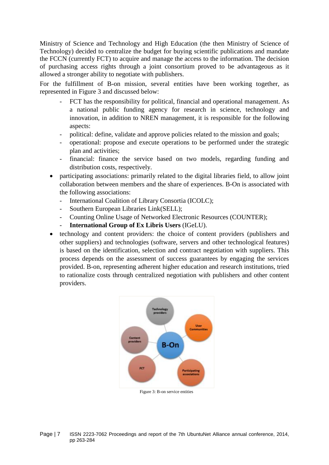Ministry of Science and Technology and High Education (the then Ministry of Science of Technology) decided to centralize the budget for buying scientific publications and mandate the FCCN (currently FCT) to acquire and manage the access to the information. The decision of purchasing access rights through a joint consortium proved to be advantageous as it allowed a stronger ability to negotiate with publishers.

For the fulfillment of B-on mission, several entities have been working together, as represented in [Figure 3](#page-6-0) and discussed below:

- FCT has the responsibility for political, financial and operational management. As a national public funding agency for research in science, technology and innovation, in addition to NREN management, it is responsible for the following aspects:
- political: define, validate and approve policies related to the mission and goals;
- operational: propose and execute operations to be performed under the strategic plan and activities;
- financial: finance the service based on two models, regarding funding and distribution costs, respectively.
- participating associations: primarily related to the digital libraries field, to allow joint collaboration between members and the share of experiences. B-On is associated with the following associations:
	- International Coalition of Library Consortia (ICOLC);
	- Southern European Libraries Link(SELL);
	- Counting Online Usage of Networked Electronic Resources (COUNTER);
	- **International Group of Ex Libris Users** (IGeLU).
- technology and content providers: the choice of content providers (publishers and other suppliers) and technologies (software, servers and other technological features) is based on the identification, selection and contract negotiation with suppliers. This process depends on the assessment of success guarantees by engaging the services provided. B-on, representing adherent higher education and research institutions, tried to rationalize costs through centralized negotiation with publishers and other content providers.



<span id="page-6-0"></span>Page | 7 ISSN 2223-7062 Proceedings and report of the 7th UbuntuNet Alliance annual conference, 2014, pp 263-284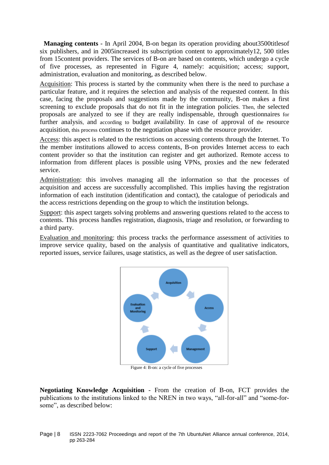**Managing contents** - In April 2004, B-on began its operation providing about3500titlesof six publishers, and in 2005increased its subscription content to approximately12, 500 titles from 15content providers. The services of B-on are based on contents, which undergo a cycle of five processes, as represented in [Figure 4,](#page-7-0) namely: acquisition; access; support, administration, evaluation and monitoring, as described below.

Acquisition: This process is started by the community when there is the need to purchase a particular feature, and it requires the selection and analysis of the requested content. In this case, facing the proposals and suggestions made by the community, B-on makes a first screening to exclude proposals that do not fit in the integration policies. Then, the selected proposals are analyzed to see if they are really indispensable, through questionnaires for further analysis, and according to budget availability. In case of approval of the resource acquisition, this process continues to the negotiation phase with the resource provider.

Access: this aspect is related to the restrictions on accessing contents through the Internet. To the member institutions allowed to access contents, B-on provides Internet access to each content provider so that the institution can register and get authorized. Remote access to information from different places is possible using VPNs, proxies and the new federated service.

Administration: this involves managing all the information so that the processes of acquisition and access are successfully accomplished. This implies having the registration information of each institution (identification and contact), the catalogue of periodicals and the access restrictions depending on the group to which the institution belongs.

Support: this aspect targets solving problems and answering questions related to the access to contents. This process handles registration, diagnosis, triage and resolution, or forwarding to a third party.

Evaluation and monitoring: this process tracks the performance assessment of activities to improve service quality, based on the analysis of quantitative and qualitative indicators, reported issues, service failures, usage statistics, as well as the degree of user satisfaction.



Figure 4: B-on: a cycle of five processes

<span id="page-7-0"></span>**Negotiating Knowledge Acquisition** - From the creation of B-on, FCT provides the publications to the institutions linked to the NREN in two ways, "all-for-all" and "some-forsome", as described below: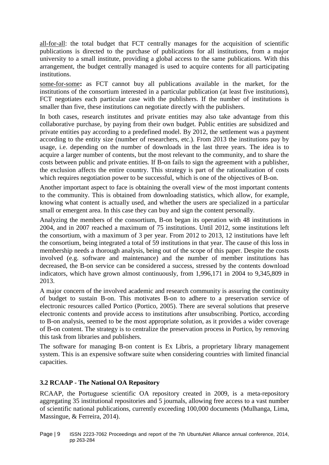all-for-all: the total budget that FCT centrally manages for the acquisition of scientific publications is directed to the purchase of publications for all institutions, from a major university to a small institute, providing a global access to the same publications. With this arrangement, the budget centrally managed is used to acquire contents for all participating institutions.

some-for-some**:** as FCT cannot buy all publications available in the market, for the institutions of the consortium interested in a particular publication (at least five institutions), FCT negotiates each particular case with the publishers. If the number of institutions is smaller than five, these institutions can negotiate directly with the publishers.

In both cases, research institutes and private entities may also take advantage from this collaborative purchase, by paying from their own budget. Public entities are subsidized and private entities pay according to a predefined model. By 2012, the settlement was a payment according to the entity size (number of researchers, etc.). From 2013 the institutions pay by usage, i.e. depending on the number of downloads in the last three years. The idea is to acquire a larger number of contents, but the most relevant to the community, and to share the costs between public and private entities. If B-on fails to sign the agreement with a publisher, the exclusion affects the entire country. This strategy is part of the rationalization of costs which requires negotiation power to be successful, which is one of the objectives of B-on.

Another important aspect to face is obtaining the overall view of the most important contents to the community. This is obtained from downloading statistics, which allow, for example, knowing what content is actually used, and whether the users are specialized in a particular small or emergent area. In this case they can buy and sign the content personally.

Analyzing the members of the consortium, B-on began its operation with 48 institutions in 2004, and in 2007 reached a maximum of 75 institutions. Until 2012, some institutions left the consortium, with a maximum of 3 per year. From 2012 to 2013, 12 institutions have left the consortium, being integrated a total of 59 institutions in that year. The cause of this loss in membership needs a thorough analysis, being out of the scope of this paper. Despite the costs involved (e.g. software and maintenance) and the number of member institutions has decreased, the B-on service can be considered a success, stressed by the contents download indicators, which have grown almost continuously, from 1,996,171 in 2004 to 9,345,809 in 2013.

A major concern of the involved academic and research community is assuring the continuity of budget to sustain B-on. This motivates B-on to adhere to a preservation service of electronic resources called Portico (Portico, 2005). There are several solutions that preserve electronic contents and provide access to institutions after unsubscribing. Portico, according to B-on analysis, seemed to be the most appropriate solution, as it provides a wider coverage of B-on content. The strategy is to centralize the preservation process in Portico, by removing this task from libraries and publishers.

The software for managing B-on content is Ex Libris, a proprietary library management system. This is an expensive software suite when considering countries with limited financial capacities.

#### **3.2 RCAAP - The National OA Repository**

RCAAP, the Portuguese scientific OA repository created in 2009, is a meta-repository aggregating 35 institutional repositories and 5 journals, allowing free access to a vast number of scientific national publications, currently exceeding 100,000 documents (Mulhanga, Lima, Massingue, & Ferreira, 2014).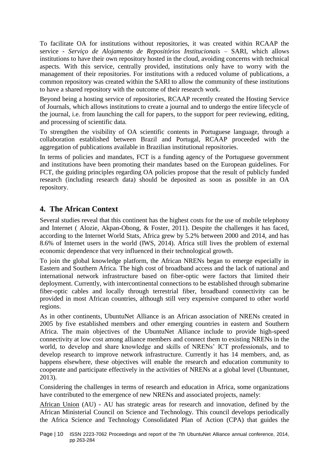To facilitate OA for institutions without repositories, it was created within RCAAP the service - *Serviço de Alojamento de Repositórios Institucionais* – SARI, which allows institutions to have their own repository hosted in the cloud, avoiding concerns with technical aspects. With this service, centrally provided, institutions only have to worry with the management of their repositories. For institutions with a reduced volume of publications, a common repository was created within the SARI to allow the community of these institutions to have a shared repository with the outcome of their research work.

Beyond being a hosting service of repositories, RCAAP recently created the Hosting Service of Journals, which allows institutions to create a journal and to undergo the entire lifecycle of the journal, i.e. from launching the call for papers, to the support for peer reviewing, editing, and processing of scientific data.

To strengthen the visibility of OA scientific contents in Portuguese language, through a collaboration established between Brazil and Portugal, RCAAP proceeded with the aggregation of publications available in Brazilian institutional repositories.

In terms of policies and mandates, FCT is a funding agency of the Portuguese government and institutions have been promoting their mandates based on the European guidelines. For FCT, the guiding principles regarding OA policies propose that the result of publicly funded research (including research data) should be deposited as soon as possible in an OA repository.

# **4. The African Context**

Several studies reveal that this continent has the highest costs for the use of mobile telephony and Internet ( Alozie, Akpan-Obong, & Foster, 2011). Despite the challenges it has faced, according to the Internet World Stats, Africa grew by 5.2% between 2000 and 2014, and has 8.6% of Internet users in the world (IWS, 2014). Africa still lives the problem of external economic dependence that very influenced in their technological growth.

To join the global knowledge platform, the African NRENs began to emerge especially in Eastern and Southern Africa. The high cost of broadband access and the lack of national and international network infrastructure based on fiber-optic were factors that limited their deployment. Currently, with intercontinental connections to be established through submarine fiber-optic cables and locally through terrestrial fiber, broadband connectivity can be provided in most African countries, although still very expensive compared to other world regions.

As in other continents, UbuntuNet Alliance is an African association of NRENs created in 2005 by five established members and other emerging countries in eastern and Southern Africa. The main objectives of the UbuntuNet Alliance include to provide high-speed connectivity at low cost among alliance members and connect them to existing NRENs in the world, to develop and share knowledge and skills of NRENs' ICT professionals, and to develop research to improve network infrastructure. Currently it has 14 members, and, as happens elsewhere, these objectives will enable the research and education community to cooperate and participate effectively in the activities of NRENs at a global level (Ubuntunet, 2013).

Considering the challenges in terms of research and education in Africa, some organizations have contributed to the emergence of new NRENs and associated projects, namely:

African Union (AU) - AU has strategic areas for research and innovation, defined by the African Ministerial Council on Science and Technology. This council develops periodically the Africa Science and Technology Consolidated Plan of Action (CPA) that guides the

Page | 10 ISSN 2223-7062 Proceedings and report of the 7th UbuntuNet Alliance annual conference, 2014, pp 263-284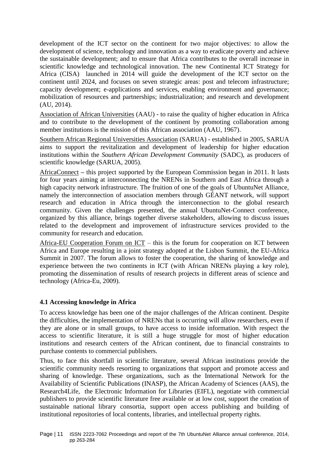development of the ICT sector on the continent for two major objectives: to allow the development of science, technology and innovation as a way to eradicate poverty and achieve the sustainable development; and to ensure that Africa contributes to the overall increase in scientific knowledge and technological innovation. The new Continental ICT Strategy for Africa (CISA) launched in 2014 will guide the development of the ICT sector on the continent until 2024, and focuses on seven strategic areas: post and telecom infrastructure; capacity development; e-applications and services, enabling environment and governance; mobilization of resources and partnerships; industrialization; and research and development (AU, 2014).

Association of African Universities (AAU) - to raise the quality of higher education in Africa and to contribute to the development of the continent by promoting collaboration among member institutions is the mission of this African association (AAU, 1967).

Southern African Regional Universities Association (SARUA) - established in 2005, SARUA aims to support the revitalization and development of leadership for higher education institutions within the *Southern African Development Community* (SADC), as producers of scientific knowledge (SARUA, 2005).

AfricaConnect **–** this project supported by the European Commission began in 2011. It lasts for four years aiming at interconnecting the NRENs in Southern and East Africa through a high capacity network infrastructure. The fruition of one of the goals of UbuntuNet Alliance, namely the interconnection of association members through GÉANT network, will support research and education in Africa through the interconnection to the global research community. Given the challenges presented, the annual UbuntuNet-Connect conference, organized by this alliance, brings together diverse stakeholders, allowing to discuss issues related to the development and improvement of infrastructure services provided to the community for research and education.

Africa-EU Cooperation Forum on ICT – this is the forum for cooperation on ICT between Africa and Europe resulting in a joint strategy adopted at the Lisbon Summit, the EU-Africa Summit in 2007. The forum allows to foster the cooperation, the sharing of knowledge and experience between the two continents in ICT (with African NRENs playing a key role), promoting the dissemination of results of research projects in different areas of science and technology (Africa-Eu, 2009).

#### **4.1 Accessing knowledge in Africa**

To access knowledge has been one of the major challenges of the African continent. Despite the difficulties, the implementation of NRENs that is occurring will allow researchers, even if they are alone or in small groups, to have access to inside information. With respect the access to scientific literature, it is still a huge struggle for most of higher education institutions and research centers of the African continent, due to financial constraints to purchase contents to commercial publishers.

Thus, to face this shortfall in scientific literature, several African institutions provide the scientific community needs resorting to organizations that support and promote access and sharing of knowledge. These organizations, such as the International Network for the Availability of Scientific Publications (INASP), the African Academy of Sciences (AAS), the Research4Life, the Electronic Information for Libraries (EIFL), negotiate with commercial publishers to provide scientific literature free available or at low cost, support the creation of sustainable national library consortia, support open access publishing and building of institutional repositories of local contents, libraries, and intellectual property rights.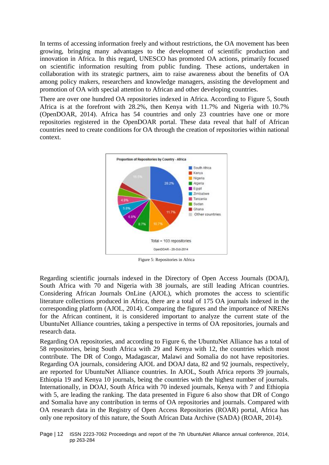In terms of accessing information freely and without restrictions, the OA movement has been growing, bringing many advantages to the development of scientific production and innovation in Africa. In this regard, UNESCO has promoted OA actions, primarily focused on scientific information resulting from public funding. These actions, undertaken in collaboration with its strategic partners, aim to raise awareness about the benefits of OA among policy makers, researchers and knowledge managers, assisting the development and promotion of OA with special attention to African and other developing countries.

There are over one hundred OA repositories indexed in Africa. According to [Figure 5,](#page-11-0) South Africa is at the forefront with 28.2%, then Kenya with 11.7% and Nigeria with 10.7% (OpenDOAR, 2014). Africa has 54 countries and only 23 countries have one or more repositories registered in the OpenDOAR portal. These data reveal that half of African countries need to create conditions for OA through the creation of repositories within national context.



Figure 5: Repositories in Africa

<span id="page-11-0"></span>Regarding scientific journals indexed in the Directory of Open Access Journals (DOAJ), South Africa with 70 and Nigeria with 38 journals, are still leading African countries. Considering African Journals OnLine (AJOL), which promotes the access to scientific literature collections produced in Africa, there are a total of 175 OA journals indexed in the corresponding platform (AJOL, 2014). Comparing the figures and the importance of NRENs for the African continent, it is considered important to analyze the current state of the UbuntuNet Alliance countries, taking a perspective in terms of OA repositories, journals and research data.

Regarding OA repositories, and according to [Figure 6,](#page-12-0) the UbuntuNet Alliance has a total of 58 repositories, being South Africa with 29 and Kenya with 12, the countries which most contribute. The DR of Congo, Madagascar, Malawi and Somalia do not have repositories. Regarding OA journals, considering AJOL and DOAJ data, 82 and 92 journals, respectively, are reported for UbuntuNet Alliance countries. In AJOL, South Africa reports 39 journals, Ethiopia 19 and Kenya 10 journals, being the countries with the highest number of journals. Internationally, in DOAJ, South Africa with 70 indexed journals, Kenya with 7 and Ethiopia with 5, are leading the ranking. The data presented in [Figure 6](#page-12-0) also show that DR of Congo and Somalia have any contribution in terms of OA repositories and journals. Compared with OA research data in the Registry of Open Access Repositories (ROAR) portal, Africa has only one repository of this nature, the South African Data Archive (SADA) (ROAR, 2014).

Page | 12 ISSN 2223-7062 Proceedings and report of the 7th UbuntuNet Alliance annual conference, 2014, pp 263-284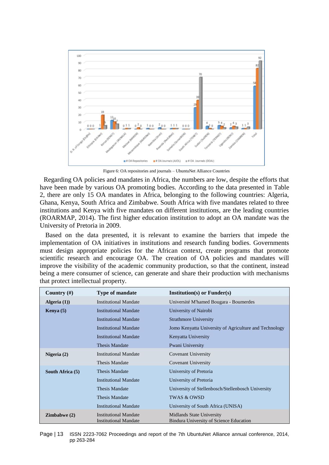

Figure 6: OA repositories and journals – UbuntuNet Alliance Countries

<span id="page-12-0"></span>Regarding OA policies and mandates in Africa, the numbers are low, despite the efforts that have been made by various OA promoting bodies. According to the data presented in [Table](#page-13-0)  [2,](#page-13-0) there are only 15 OA mandates in Africa, belonging to the following countries: Algeria, Ghana, Kenya, South Africa and Zimbabwe. South Africa with five mandates related to three institutions and Kenya with five mandates on different institutions, are the leading countries (ROARMAP, 2014). The first higher education institution to adopt an OA mandate was the University of Pretoria in 2009.

Based on the data presented, it is relevant to examine the barriers that impede the implementation of OA initiatives in institutions and research funding bodies. Governments must design appropriate policies for the African context, create programs that promote scientific research and encourage OA. The creation of OA policies and mandates will improve the visibility of the academic community production, so that the continent, instead being a mere consumer of science, can generate and share their production with mechanisms that protect intellectual property.

| Country $(\#)$     | <b>Type of mandate</b>                                       | $Institution(s)$ or $Funder(s)$                                             |
|--------------------|--------------------------------------------------------------|-----------------------------------------------------------------------------|
| Algeria $(1)$      | <b>Institutional Mandate</b>                                 | Université M'hamed Bougara - Boumerdes                                      |
| <b>Kenya</b> $(5)$ | <b>Institutional Mandate</b>                                 | University of Nairobi                                                       |
|                    | <b>Institutional Mandate</b>                                 | <b>Strathmore University</b>                                                |
|                    | <b>Institutional Mandate</b>                                 | Jomo Kenyatta University of Agriculture and Technology                      |
|                    | <b>Institutional Mandate</b>                                 | Kenyatta University                                                         |
|                    | <b>Thesis Mandate</b>                                        | Pwani University                                                            |
| Nigeria (2)        | <b>Institutional Mandate</b>                                 | Covenant University                                                         |
|                    | Thesis Mandate                                               | Covenant University                                                         |
| South Africa (5)   | <b>Thesis Mandate</b>                                        | University of Pretoria                                                      |
|                    | <b>Institutional Mandate</b>                                 | University of Pretoria                                                      |
|                    | <b>Thesis Mandate</b>                                        | University of Stellenbosch/Stellenbosch University                          |
|                    | <b>Thesis Mandate</b>                                        | <b>TWAS &amp; OWSD</b>                                                      |
|                    | <b>Institutional Mandate</b>                                 | University of South Africa (UNISA)                                          |
| Zimbabwe(2)        | <b>Institutional Mandate</b><br><b>Institutional Mandate</b> | <b>Midlands State University</b><br>Bindura University of Science Education |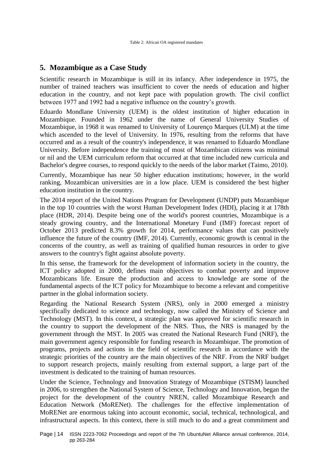# <span id="page-13-0"></span>**5. Mozambique as a Case Study**

Scientific research in Mozambique is still in its infancy. After independence in 1975, the number of trained teachers was insufficient to cover the needs of education and higher education in the country, and not kept pace with population growth. The civil conflict between 1977 and 1992 had a negative influence on the country's growth.

Eduardo Mondlane University (UEM) is the oldest institution of higher education in Mozambique. Founded in 1962 under the name of General University Studies of Mozambique, in 1968 it was renamed to University of Lourenço Marques (ULM) at the time which ascended to the level of University. In 1976, resulting from the reforms that have occurred and as a result of the country's independence, it was renamed to Eduardo Mondlane University. Before independence the training of most of Mozambican citizens was minimal or nil and the UEM curriculum reform that occurred at that time included new curricula and Bachelor's degree courses, to respond quickly to the needs of the labor market (Taimo, 2010).

Currently, Mozambique has near 50 higher education institutions; however, in the world ranking, Mozambican universities are in a low place. UEM is considered the best higher education institution in the country.

The 2014 report of the United Nations Program for Development (UNDP) puts Mozambique in the top 10 countries with the worst Human Development Index (HDI), placing it at 178th place (HDR, 2014). Despite being one of the world's poorest countries, Mozambique is a steady growing country, and the International Monetary Fund (IMF) forecast report of October 2013 predicted 8.3% growth for 2014, performance values that can positively influence the future of the country (IMF, 2014). Currently, economic growth is central in the concerns of the country, as well as training of qualified human resources in order to give answers to the country's fight against absolute poverty.

In this sense, the framework for the development of information society in the country, the ICT policy adopted in 2000, defines main objectives to combat poverty and improve Mozambicans life. Ensure the production and access to knowledge are some of the fundamental aspects of the ICT policy for Mozambique to become a relevant and competitive partner in the global information society.

Regarding the National Research System (NRS), only in 2000 emerged a ministry specifically dedicated to science and technology, now called the Ministry of Science and Technology (MST). In this context, a strategic plan was approved for scientific research in the country to support the development of the NRS. Thus, the NRS is managed by the government through the MST. In 2005 was created the National Research Fund (NRF), the main government agency responsible for funding research in Mozambique. The promotion of programs, projects and actions in the field of scientific research in accordance with the strategic priorities of the country are the main objectives of the NRF. From the NRF budget to support research projects, mainly resulting from external support, a large part of the investment is dedicated to the training of human resources.

Under the Science, Technology and Innovation Strategy of Mozambique (STISM) launched in 2006, to strengthen the National System of Science, Technology and Innovation, began the project for the development of the country NREN, called Mozambique Research and Education Network (MoRENet). The challenges for the effective implementation of MoRENet are enormous taking into account economic, social, technical, technological, and infrastructural aspects. In this context, there is still much to do and a great commitment and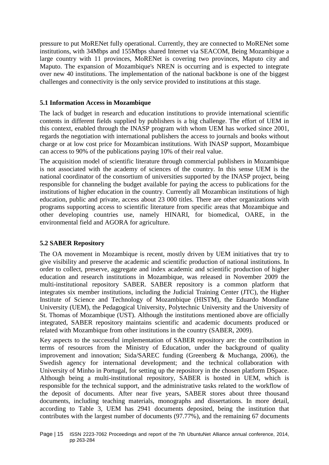pressure to put MoRENet fully operational. Currently, they are connected to MoRENet some institutions, with 34Mbps and 155Mbps shared Internet via SEACOM, Being Mozambique a large country with 11 provinces, MoRENet is covering two provinces, Maputo city and Maputo. The expansion of Mozambique's NREN is occurring and is expected to integrate over new 40 institutions. The implementation of the national backbone is one of the biggest challenges and connectivity is the only service provided to institutions at this stage.

#### **5.1 Information Access in Mozambique**

The lack of budget in research and education institutions to provide international scientific contents in different fields supplied by publishers is a big challenge. The effort of UEM in this context, enabled through the INASP program with whom UEM has worked since 2001, regards the negotiation with international publishers the access to journals and books without charge or at low cost price for Mozambican institutions. With INASP support, Mozambique can access to 90% of the publications paying 10% of their real value.

The acquisition model of scientific literature through commercial publishers in Mozambique is not associated with the academy of sciences of the country. In this sense UEM is the national coordinator of the consortium of universities supported by the INASP project, being responsible for channeling the budget available for paying the access to publications for the institutions of higher education in the country. Currently all Mozambican institutions of high education, public and private, access about 23 000 titles. There are other organizations with programs supporting access to scientific literature from specific areas that Mozambique and other developing countries use, namely HINARI, for biomedical, OARE, in the environmental field and AGORA for agriculture.

#### **5.2 SABER Repository**

The OA movement in Mozambique is recent, mostly driven by UEM initiatives that try to give visibility and preserve the academic and scientific production of national institutions. In order to collect, preserve, aggregate and index academic and scientific production of higher education and research institutions in Mozambique, was released in November 2009 the multi-institutional repository SABER. SABER repository is a common platform that integrates six member institutions, including the Judicial Training Center (JTC), the Higher Institute of Science and Technology of Mozambique (HISTM), the Eduardo Mondlane University (UEM), the Pedagogical University, Polytechnic University and the University of St. Thomas of Mozambique (UST). Although the institutions mentioned above are officially integrated, SABER repository maintains scientific and academic documents produced or related with Mozambique from other institutions in the country (SABER, 2009).

Key aspects to the successful implementation of SABER repository are: the contribution in terms of resources from the Ministry of Education, under the background of quality improvement and innovation; Sida/SAREC funding (Greenberg & Muchanga, 2006), the Swedish agency for international development; and the technical collaboration with University of Minho in Portugal, for setting up the repository in the chosen platform DSpace. Although being a multi-institutional repository, SABER is hosted in UEM, which is responsible for the technical support, and the administrative tasks related to the workflow of the deposit of documents. After near five years, SABER stores about three thousand documents, including teaching materials, monographs and dissertations. In more detail, according to [Table 3,](#page-15-0) UEM has 2941 documents deposited, being the institution that contributes with the largest number of documents (97.77%), and the remaining 67 documents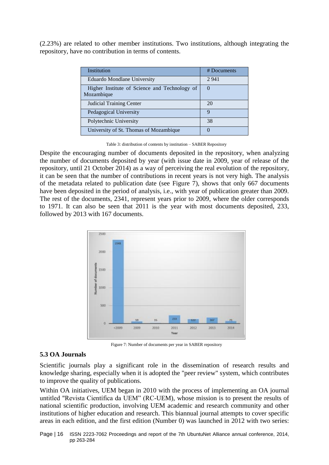(2.23%) are related to other member institutions. Two institutions, although integrating the repository, have no contribution in terms of contents.

| Institution                                                 | # Documents |
|-------------------------------------------------------------|-------------|
| Eduardo Mondlane University                                 | 2941        |
| Higher Institute of Science and Technology of<br>Mozambique | $\Omega$    |
| <b>Judicial Training Center</b>                             | 20          |
| Pedagogical University                                      | Q           |
| Polytechnic University                                      | 38          |
| University of St. Thomas of Mozambique                      |             |

Table 3: distribution of contents by institution – SABER Repository

<span id="page-15-0"></span>Despite the encouraging number of documents deposited in the repository, when analyzing the number of documents deposited by year (with issue date in 2009, year of release of the repository, until 21 October 2014) as a way of perceiving the real evolution of the repository, it can be seen that the number of contributions in recent years is not very high. The analysis of the metadata related to publication date (see [Figure 7\)](#page-15-1), shows that only 667 documents have been deposited in the period of analysis, i.e., with year of publication greater than 2009. The rest of the documents, 2341, represent years prior to 2009, where the older corresponds to 1971. It can also be seen that 2011 is the year with most documents deposited, 233, followed by 2013 with 167 documents.



Figure 7: Number of documents per year in SABER repository

#### <span id="page-15-1"></span>**5.3 OA Journals**

Scientific journals play a significant role in the dissemination of research results and knowledge sharing, especially when it is adopted the "peer review" system, which contributes to improve the quality of publications.

Within OA initiatives, UEM began in 2010 with the process of implementing an OA journal untitled "Revista Científica da UEM" (RC-UEM), whose mission is to present the results of national scientific production, involving UEM academic and research community and other institutions of higher education and research. This biannual journal attempts to cover specific areas in each edition, and the first edition (Number 0) was launched in 2012 with two series:

Page | 16 ISSN 2223-7062 Proceedings and report of the 7th UbuntuNet Alliance annual conference, 2014, pp 263-284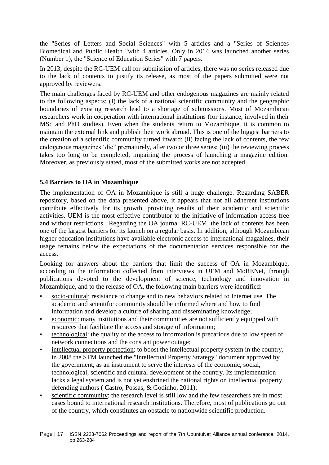the "Series of Letters and Social Sciences" with 5 articles and a "Series of Sciences Biomedical and Public Health "with 4 articles. Only in 2014 was launched another series (Number 1), the "Science of Education Series" with 7 papers.

In 2013, despite the RC-UEM call for submission of articles, there was no series released due to the lack of contents to justify its release, as most of the papers submitted were not approved by reviewers.

The main challenges faced by RC-UEM and other endogenous magazines are mainly related to the following aspects: (I) the lack of a national scientific community and the geographic boundaries of existing research lead to a shortage of submissions. Most of Mozambican researchers work in cooperation with international institutions (for instance, involved in their MSc and PhD studies). Even when the students return to Mozambique, it is common to maintain the external link and publish their work abroad. This is one of the biggest barriers to the creation of a scientific community turned inward; (ii) facing the lack of contents, the few endogenous magazines 'die" prematurely, after two or three series; (iii) the reviewing process takes too long to be completed, impairing the process of launching a magazine edition. Moreover, as previously stated, most of the submitted works are not accepted.

#### **5.4 Barriers to OA in Mozambique**

The implementation of OA in Mozambique is still a huge challenge. Regarding SABER repository, based on the data presented above, it appears that not all adherent institutions contribute effectively for its growth, providing results of their academic and scientific activities. UEM is the most effective contributor to the initiative of information access free and without restrictions. Regarding the OA journal RC-UEM, the lack of contents has been one of the largest barriers for its launch on a regular basis. In addition, although Mozambican higher education institutions have available electronic access to international magazines, their usage remains below the expectations of the documentation services responsible for the access.

Looking for answers about the barriers that limit the success of OA in Mozambique, according to the information collected from interviews in UEM and MoRENet, through publications devoted to the development of science, technology and innovation in Mozambique, and to the release of OA, the following main barriers were identified:

- socio-cultural: resistance to change and to new behaviors related to Internet use. The academic and scientific community should be informed where and how to find information and develop a culture of sharing and disseminating knowledge;
- economic: many institutions and their communities are not sufficiently equipped with resources that facilitate the access and storage of information;
- technological: the quality of the access to information is precarious due to low speed of network connections and the constant power outage;
- intellectual property protection: to boost the intellectual property system in the country, in 2008 the STM launched the "Intellectual Property Strategy" document approved by the government, as an instrument to serve the interests of the economic, social, technological, scientific and cultural development of the country. Its implementation lacks a legal system and is not yet enshrined the national rights on intellectual property defending authors ( Castro, Possas, & Godinho, 2011);
- scientific community: the research level is still low and the few researchers are in most cases bound to international research institutions. Therefore, most of publications go out of the country, which constitutes an obstacle to nationwide scientific production.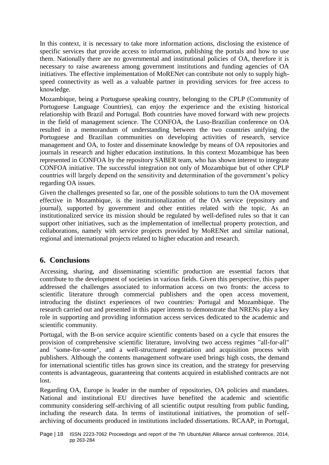In this context, it is necessary to take more information actions, disclosing the existence of specific services that provide access to information, publishing the portals and how to use them. Nationally there are no governmental and institutional policies of OA, therefore it is necessary to raise awareness among government institutions and funding agencies of OA initiatives. The effective implementation of MoRENet can contribute not only to supply highspeed connectivity as well as a valuable partner in providing services for free access to knowledge.

Mozambique, being a Portuguese speaking country, belonging to the CPLP (Community of Portuguese Language Countries), can enjoy the experience and the existing historical relationship with Brazil and Portugal. Both countries have moved forward with new projects in the field of management science. The CONFOA, the Luso-Brazilian conference on OA resulted in a memorandum of understanding between the two countries unifying the Portuguese and Brazilian communities on developing activities of research, service management and OA, to foster and disseminate knowledge by means of OA repositories and journals in research and higher education institutions. In this context Mozambique has been represented in CONFOA by the repository SABER team, who has shown interest to integrate CONFOA initiative. The successful integration not only of Mozambique but of other CPLP countries will largely depend on the sensitivity and determination of the government's policy regarding OA issues.

Given the challenges presented so far, one of the possible solutions to turn the OA movement effective in Mozambique, is the institutionalization of the OA service (repository and journal), supported by government and other entities related with the topic. As an institutionalized service its mission should be regulated by well-defined rules so that it can support other initiatives, such as the implementation of intellectual property protection, and collaborations, namely with service projects provided by MoRENet and similar national, regional and international projects related to higher education and research.

## **6. Conclusions**

Accessing, sharing, and disseminating scientific production are essential factors that contribute to the development of societies in various fields. Given this perspective, this paper addressed the challenges associated to information access on two fronts: the access to scientific literature through commercial publishers and the open access movement, introducing the distinct experiences of two countries: Portugal and Mozambique. The research carried out and presented in this paper intents to demonstrate that NRENs play a key role in supporting and providing information access services dedicated to the academic and scientific community.

Portugal, with the B-on service acquire scientific contents based on a cycle that ensures the provision of comprehensive scientific literature, involving two access regimes "all-for-all" and "some-for-some", and a well-structured negotiation and acquisition process with publishers. Although the contents management software used brings high costs, the demand for international scientific titles has grown since its creation, and the strategy for preserving contents is advantageous, guaranteeing that contents acquired in established contracts are not lost.

Regarding OA, Europe is leader in the number of repositories, OA policies and mandates. National and institutional EU directives have benefited the academic and scientific community considering self-archiving of all scientific output resulting from public funding, including the research data. In terms of institutional initiatives, the promotion of selfarchiving of documents produced in institutions included dissertations. RCAAP, in Portugal,

Page | 18 ISSN 2223-7062 Proceedings and report of the 7th UbuntuNet Alliance annual conference, 2014, pp 263-284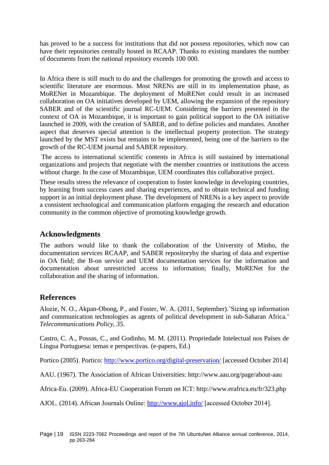has proved to be a success for institutions that did not possess repositories, which now can have their repositories centrally hosted in RCAAP. Thanks to existing mandates the number of documents from the national repository exceeds 100 000.

In Africa there is still much to do and the challenges for promoting the growth and access to scientific literature are enormous. Most NRENs are still in its implementation phase, as MoRENet in Mozambique. The deployment of MoRENet could result in an increased collaboration on OA initiatives developed by UEM, allowing the expansion of the repository SABER and of the scientific journal RC-UEM. Considering the barriers presented in the context of OA in Mozambique, it is important to gain political support to the OA initiative launched in 2009, with the creation of SABER, and to define policies and mandates. Another aspect that deserves special attention is the intellectual property protection. The strategy launched by the MST exists but remains to be implemented, being one of the barriers to the growth of the RC-UEM journal and SABER repository.

The access to international scientific contents in Africa is still sustained by international organizations and projects that negotiate with the member countries or institutions the access without charge. In the case of Mozambique, UEM coordinates this collaborative project.

These results stress the relevance of cooperation to foster knowledge in developing countries, by learning from success cases and sharing experiences, and to obtain technical and funding support in an initial deployment phase. The development of NRENs is a key aspect to provide a consistent technological and communication platform engaging the research and education community in the common objective of promoting knowledge growth.

## **Acknowledgments**

The authors would like to thank the collaboration of the University of Minho, the documentation services RCAAP, and SABER repositoryby the sharing of data and expertise in OA field; the B-on service and UEM documentation services for the information and documentation about unrestricted access to information; finally, MoRENet for the collaboration and the sharing of information.

## **References**

Alozie, N. O., Akpan-Obong, P., and Foster, W. A. (2011, September).'Sizing up information and communication technologies as agents of political development in sub-Saharan Africa.' *Telecommunications Policy, 35*.

Castro, C. A., Possas, C., and Godinho, M. M. (2011). Propriedade Intelectual nos Países de Língua Portuguesa: temas e perspectivas. (e-papers, Ed.)

Portico (2005). Portico:<http://www.portico.org/digital-preservation/> [accessed October 2014]

AAU. (1967). The Association of African Universities: http://www.aau.org/page/about-aau

Africa-Eu. (2009). Africa-EU Cooperation Forum on ICT: http://www.erafrica.eu/fr/323.php

AJOL. (2014). African Journals Online:<http://www.ajol.info/> [accessed October 2014].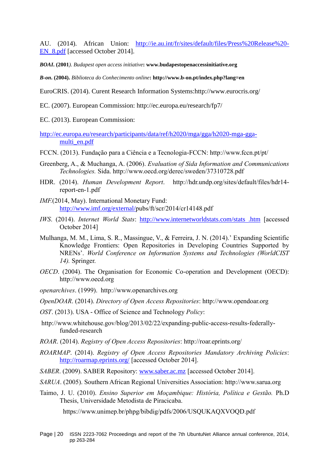AU. (2014). African Union: [http://ie.au.int/fr/sites/default/files/Press%20Release%20-](http://ie.au.int/fr/sites/default/files/Press%20Release%20-EN_8.pdf) [EN\\_8.pdf](http://ie.au.int/fr/sites/default/files/Press%20Release%20-EN_8.pdf) [accessed October 2014].

*BOAI***. (2001***). Budapest open access initiative***: www.budapestopenaccessinitiative.org**

*B-on***. (2004).** *Biblioteca do Conhecimento online***: http://www.b-on.pt/index.php?lang=en**

- EuroCRIS. (2014). Curent Research Information Systems:http://www.eurocris.org/
- EC. (2007). European Commission: http://ec.europa.eu/research/fp7/
- EC. (2013). European Commission:

[http://ec.europa.eu/research/participants/data/ref/h2020/mga/gga/h2020-mga-gga](http://ec.europa.eu/research/participants/data/ref/h2020/mga/gga/h2020-mga-gga-multi_en.pdf)[multi\\_en.pdf](http://ec.europa.eu/research/participants/data/ref/h2020/mga/gga/h2020-mga-gga-multi_en.pdf)

- FCCN. (2013). Fundação para a Ciência e a Tecnologia-FCCN: http://www.fccn.pt/pt/
- Greenberg, A., & Muchanga, A. (2006). *Evaluation of Sida Information and Communications Technologies.* Sida. http://www.oecd.org/derec/sweden/37310728.pdf
- HDR. (2014). *Human Development Report*. http://hdr.undp.org/sites/default/files/hdr14 report-en-1.pdf
- *IMF.*(2014, May). International Monetary Fund: [http://www.imf.org/external/p](http://www.imf.org/external/)ubs/ft/scr/2014/cr14148.pdf
- *IWS*. (2014). *Internet World Stats*: [http://www.internetworldstats.com/stats .htm](http://www.internetworldstats.com/stats%20.htm) [accessed October 2014]
- Mulhanga, M. M., Lima, S. R., Massingue, V., & Ferreira, J. N. (2014).' Expanding Scientific Knowledge Frontiers: Open Repositories in Developing Countries Supported by NRENs'. *World Conference on Information Systems and Technologies (WorldCIST 14).* Springer.
- *OECD*. (2004). The Organisation for Economic Co-operation and Development (OECD): http://www.oecd.org
- *openarchives*. (1999). http://www.openarchives.org

*OpenDOAR*. (2014). *Directory of Open Access Repositories*: http://www.opendoar.org

- *OST*. (2013). USA Office of Science and Technology *Policy*:
- http://www.whitehouse.gov/blog/2013/02/22/expanding-public-access-results-federallyfunded-research
- *ROAR*. (2014). *Registry of Open Access Repositories*: http://roar.eprints.org/
- *ROARMAP*. (2014). *Registry of Open Access Repositories Mandatory Archiving Policies*: <http://roarmap.eprints.org/> [accessed October 2014].
- *SABER*. (2009). SABER Repository: [www.saber.ac.mz](http://www.saber.ac.mz/) [accessed October 2014].
- *SARUA*. (2005). Southern African Regional Universities Association: http://www.sarua.org
- Taimo, J. U. (2010). *Ensino Superior em Moçambique: História, Política e Gestão.* Ph.D Thesis, Universidade Metodista de Piracicaba.

https://www.unimep.br/phpg/bibdig/pdfs/2006/USQUKAQXVOQD.pdf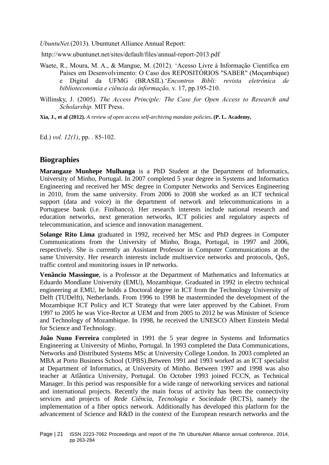*UbuntuNet.*(2013). Ubuntunet Alliance Annual Report:

http://www.ubuntunet.net/sites/default/files/annual-report-2013.pdf

- Waete, R., Moura, M. A., & Mangue, M. (2012). 'Acesso Livre à Informação Científica em Países em Desenvolvimento: O Caso dos REPOSITÓRIOS "SABER" (Moçambique) e Digital da UFMG (BRASIL).'*Encontros Bibli: revista eletrônica de biblioteconomia e ciência da informação,* v. 17, pp.195-210.
- Willinsky, J. (2005). *The Access Principle: The Case for Open Access to Research and Scholarship.* MIT Press.

**Xia, J., et al (2012).** *A review of open access self-archiving mandate policies***. (P. L. Academy,** 

Ed.) *vol. 12(1)*, pp. . 85-102.

## **Biographies**

**Marangaze Munhepe Mulhanga** is a PhD Student at the Department of Informatics, University of Minho, Portugal. In 2007 completed 5 year degree in Systems and Informatics Engineering and received her MSc degree in Computer Networks and Services Engineering in 2010, from the same university. From 2006 to 2008 she worked as an ICT technical support (data and voice) in the department of network and telecommunications in a Portuguese bank (i.e. Finibanco). Her research interests include national research and education networks, next generation networks, ICT policies and regulatory aspects of telecommunication, and science and innovation management.

**Solange Rito Lima** graduated in 1992, received her MSc and PhD degrees in Computer Communications from the University of Minho, Braga, Portugal, in 1997 and 2006, respectively. She is currently an Assistant Professor in Computer Communications at the same University. Her research interests include multiservice networks and protocols, QoS, traffic control and monitoring issues in IP networks.

**Venâncio Massingue**, is a Professor at the Department of Mathematics and Informatics at Eduardo Mondlane University (EMU), Mozambique. Graduated in 1992 in electro technical engineering at EMU, he holds a Doctoral degree in ICT from the Technology University of Delft (TUDelft), Netherlands. From 1996 to 1998 he masterminded the development of the Mozambique ICT Policy and ICT Strategy that were later approved by the Cabinet. From 1997 to 2005 he was Vice-Rector at UEM and from 2005 to 2012 he was Minister of Science and Technology of Mozambique. In 1998, he received the UNESCO Albert Einstein Medal for Science and Technology.

**João Nuno Ferreira** completed in 1991 the 5 year degree in Systems and Informatics Engineering at University of Minho, Portugal. In 1993 completed the Data Communications, Networks and Distributed Systems MSc at University College London. In 2003 completed an MBA at Porto Business School (UPBS).Between 1991 and 1993 worked as an ICT specialist at Department of Informatics, at University of Minho. Between 1997 and 1998 was also teacher at Atlântica University, Portugal. On October 1993 joined FCCN, as Technical Manager. In this period was responsible for a wide range of networking services and national and international projects. Recently the main focus of activity has been the connectivity services and projects of *Rede Ciência, Tecnologia e Sociedade* (RCTS), namely the implementation of a fiber optics network. Additionally has developed this platform for the advancement of Science and R&D in the context of the European research networks and the